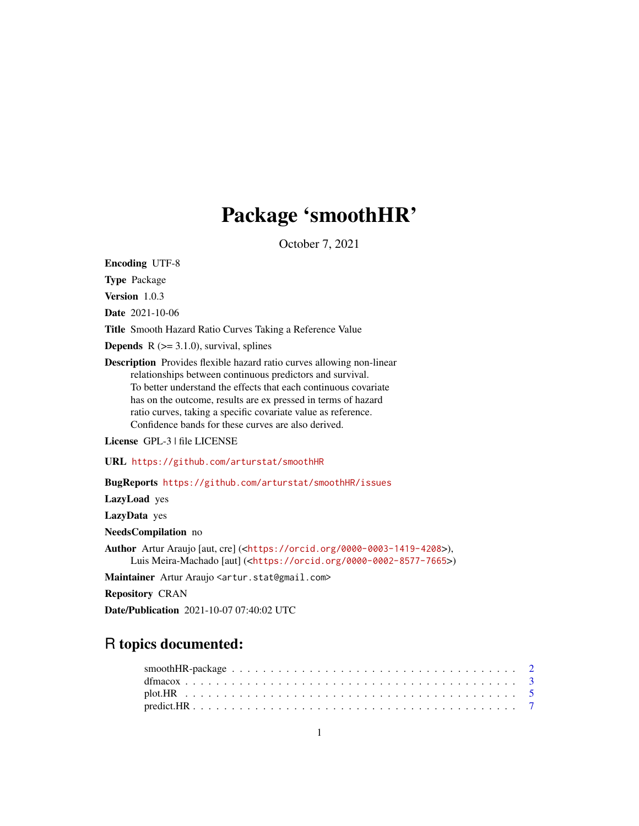## Package 'smoothHR'

October 7, 2021

Encoding UTF-8

Type Package

Version 1.0.3

Date 2021-10-06

Title Smooth Hazard Ratio Curves Taking a Reference Value

**Depends**  $R$  ( $>= 3.1.0$ ), survival, splines

Description Provides flexible hazard ratio curves allowing non-linear relationships between continuous predictors and survival. To better understand the effects that each continuous covariate has on the outcome, results are ex pressed in terms of hazard ratio curves, taking a specific covariate value as reference. Confidence bands for these curves are also derived.

License GPL-3 | file LICENSE

URL <https://github.com/arturstat/smoothHR>

BugReports <https://github.com/arturstat/smoothHR/issues>

LazyLoad yes

LazyData yes

NeedsCompilation no

Author Artur Araujo [aut, cre] (<<https://orcid.org/0000-0003-1419-4208>>), Luis Meira-Machado [aut] (<<https://orcid.org/0000-0002-8577-7665>>)

Maintainer Artur Araujo <artur.stat@gmail.com>

Repository CRAN

Date/Publication 2021-10-07 07:40:02 UTC

### R topics documented: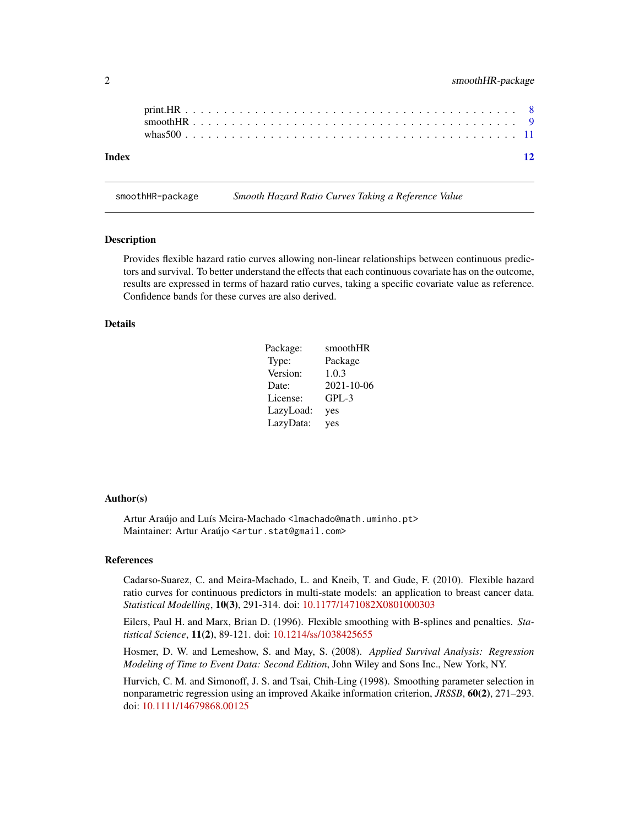<span id="page-1-0"></span>

| Index | whas $500$ |  |  |  |  |  |  |  |  |  |  |  |  |  |  |  |  |  | 12 |
|-------|------------|--|--|--|--|--|--|--|--|--|--|--|--|--|--|--|--|--|----|
|       |            |  |  |  |  |  |  |  |  |  |  |  |  |  |  |  |  |  |    |

smoothHR-package *Smooth Hazard Ratio Curves Taking a Reference Value*

#### Description

Provides flexible hazard ratio curves allowing non-linear relationships between continuous predictors and survival. To better understand the effects that each continuous covariate has on the outcome, results are expressed in terms of hazard ratio curves, taking a specific covariate value as reference. Confidence bands for these curves are also derived.

#### Details

| Package:  | smoothHR   |
|-----------|------------|
| Type:     | Package    |
| Version:  | 1.0.3      |
| Date:     | 2021-10-06 |
| License:  | $GPL-3$    |
| LazyLoad: | yes        |
| LazyData: | yes        |

#### Author(s)

Artur Araújo and Luís Meira-Machado <lmachado@math.uminho.pt> Maintainer: Artur Araújo <artur.stat@gmail.com>

#### References

Cadarso-Suarez, C. and Meira-Machado, L. and Kneib, T. and Gude, F. (2010). Flexible hazard ratio curves for continuous predictors in multi-state models: an application to breast cancer data. *Statistical Modelling*, 10(3), 291-314. doi: [10.1177/1471082X0801000303](https://doi.org/10.1177/1471082X0801000303)

Eilers, Paul H. and Marx, Brian D. (1996). Flexible smoothing with B-splines and penalties. *Statistical Science*, 11(2), 89-121. doi: [10.1214/ss/1038425655](https://doi.org/10.1214/ss/1038425655)

Hosmer, D. W. and Lemeshow, S. and May, S. (2008). *Applied Survival Analysis: Regression Modeling of Time to Event Data: Second Edition*, John Wiley and Sons Inc., New York, NY.

Hurvich, C. M. and Simonoff, J. S. and Tsai, Chih-Ling (1998). Smoothing parameter selection in nonparametric regression using an improved Akaike information criterion, *JRSSB*, 60(2), 271–293. doi: [10.1111/14679868.00125](https://doi.org/10.1111/1467-9868.00125)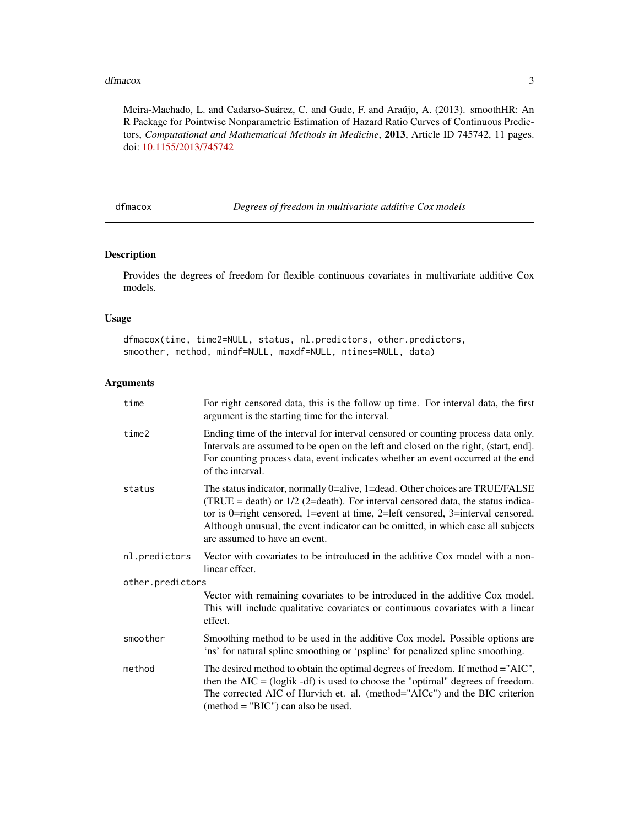#### <span id="page-2-0"></span>dfmacox 3

Meira-Machado, L. and Cadarso-Suárez, C. and Gude, F. and Araújo, A. (2013). smoothHR: An R Package for Pointwise Nonparametric Estimation of Hazard Ratio Curves of Continuous Predictors, *Computational and Mathematical Methods in Medicine*, 2013, Article ID 745742, 11 pages. doi: [10.1155/2013/745742](https://doi.org/10.1155/2013/745742)

dfmacox *Degrees of freedom in multivariate additive Cox models*

#### Description

Provides the degrees of freedom for flexible continuous covariates in multivariate additive Cox models.

#### Usage

dfmacox(time, time2=NULL, status, nl.predictors, other.predictors, smoother, method, mindf=NULL, maxdf=NULL, ntimes=NULL, data)

#### Arguments

| time             | For right censored data, this is the follow up time. For interval data, the first<br>argument is the starting time for the interval.                                                                                                                                                                                                                                      |
|------------------|---------------------------------------------------------------------------------------------------------------------------------------------------------------------------------------------------------------------------------------------------------------------------------------------------------------------------------------------------------------------------|
| time2            | Ending time of the interval for interval censored or counting process data only.<br>Intervals are assumed to be open on the left and closed on the right, (start, end].<br>For counting process data, event indicates whether an event occurred at the end<br>of the interval.                                                                                            |
| status           | The status indicator, normally 0=alive, 1=dead. Other choices are TRUE/FALSE<br>(TRUE = death) or $1/2$ (2=death). For interval censored data, the status indica-<br>tor is 0=right censored, 1=event at time, 2=left censored, 3=interval censored.<br>Although unusual, the event indicator can be omitted, in which case all subjects<br>are assumed to have an event. |
| nl.predictors    | Vector with covariates to be introduced in the additive Cox model with a non-<br>linear effect.                                                                                                                                                                                                                                                                           |
| other.predictors |                                                                                                                                                                                                                                                                                                                                                                           |
|                  | Vector with remaining covariates to be introduced in the additive Cox model.<br>This will include qualitative covariates or continuous covariates with a linear<br>effect.                                                                                                                                                                                                |
| smoother         | Smoothing method to be used in the additive Cox model. Possible options are<br>'ns' for natural spline smoothing or 'pspline' for penalized spline smoothing.                                                                                                                                                                                                             |
| method           | The desired method to obtain the optimal degrees of freedom. If method = "AIC",<br>then the $AIC = (loglik - df)$ is used to choose the "optimal" degrees of freedom.<br>The corrected AIC of Hurvich et. al. (method="AICc") and the BIC criterion<br>$(method = "BIC")$ can also be used.                                                                               |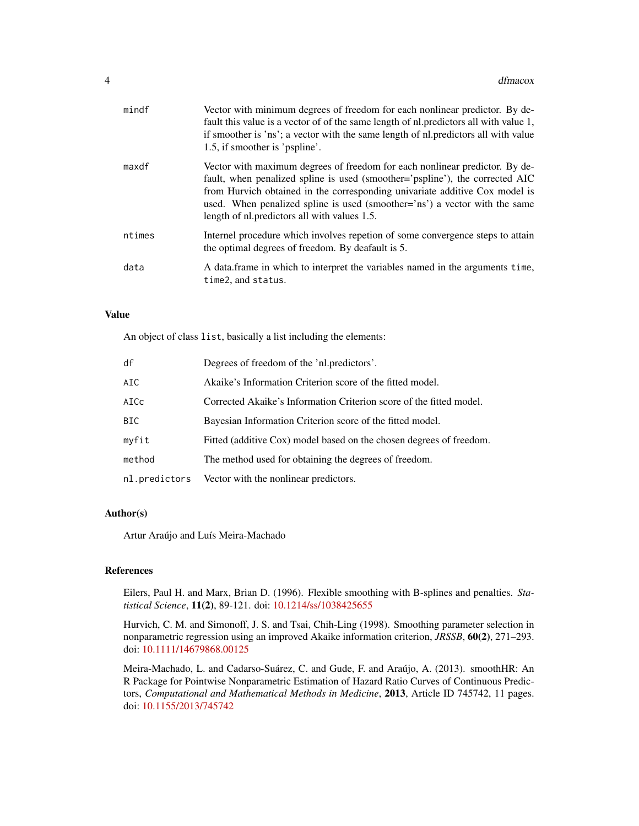| mindf  | Vector with minimum degrees of freedom for each nonlinear predictor. By de-<br>fault this value is a vector of of the same length of nl. predictors all with value 1,<br>if smoother is 'ns'; a vector with the same length of nl.predictors all with value<br>1.5, if smoother is 'pspline'.                                                                             |
|--------|---------------------------------------------------------------------------------------------------------------------------------------------------------------------------------------------------------------------------------------------------------------------------------------------------------------------------------------------------------------------------|
| maxdf  | Vector with maximum degrees of freedom for each nonlinear predictor. By de-<br>fault, when penalized spline is used (smoother='pspline'), the corrected AIC<br>from Hurvich obtained in the corresponding univariate additive Cox model is<br>used. When penalized spline is used (smoother='ns') a vector with the same<br>length of nl. predictors all with values 1.5. |
| ntimes | Internel procedure which involves repetion of some convergence steps to attain<br>the optimal degrees of freedom. By deafault is 5.                                                                                                                                                                                                                                       |
| data   | A data frame in which to interpret the variables named in the arguments time,<br>time2, and status.                                                                                                                                                                                                                                                                       |

#### Value

An object of class list, basically a list including the elements:

| df     | Degrees of freedom of the 'nl.predictors'.                          |
|--------|---------------------------------------------------------------------|
| AIC    | Akaike's Information Criterion score of the fitted model.           |
| AICc   | Corrected Akaike's Information Criterion score of the fitted model. |
| BIC    | Bayesian Information Criterion score of the fitted model.           |
| myfit  | Fitted (additive Cox) model based on the chosen degrees of freedom. |
| method | The method used for obtaining the degrees of freedom.               |
|        | nl. predictors Vector with the nonlinear predictors.                |

#### Author(s)

Artur Araújo and Luís Meira-Machado

#### References

Eilers, Paul H. and Marx, Brian D. (1996). Flexible smoothing with B-splines and penalties. *Statistical Science*, 11(2), 89-121. doi: [10.1214/ss/1038425655](https://doi.org/10.1214/ss/1038425655)

Hurvich, C. M. and Simonoff, J. S. and Tsai, Chih-Ling (1998). Smoothing parameter selection in nonparametric regression using an improved Akaike information criterion, *JRSSB*, 60(2), 271–293. doi: [10.1111/14679868.00125](https://doi.org/10.1111/1467-9868.00125)

Meira-Machado, L. and Cadarso-Suárez, C. and Gude, F. and Araújo, A. (2013). smoothHR: An R Package for Pointwise Nonparametric Estimation of Hazard Ratio Curves of Continuous Predictors, *Computational and Mathematical Methods in Medicine*, 2013, Article ID 745742, 11 pages. doi: [10.1155/2013/745742](https://doi.org/10.1155/2013/745742)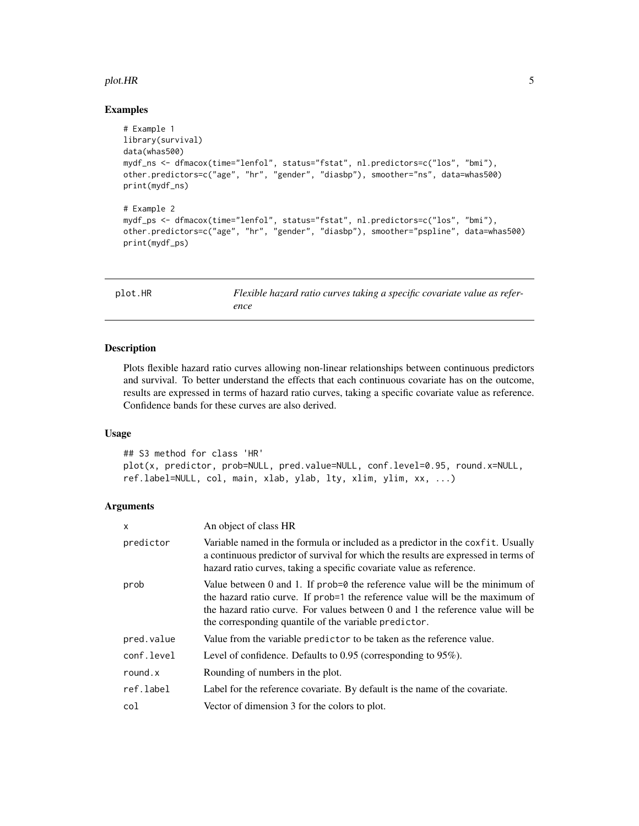#### <span id="page-4-0"></span>plot.HR 5

#### Examples

```
# Example 1
library(survival)
data(whas500)
mydf_ns <- dfmacox(time="lenfol", status="fstat", nl.predictors=c("los", "bmi"),
other.predictors=c("age", "hr", "gender", "diasbp"), smoother="ns", data=whas500)
print(mydf_ns)
# Example 2
mydf_ps <- dfmacox(time="lenfol", status="fstat", nl.predictors=c("los", "bmi"),
other.predictors=c("age", "hr", "gender", "diasbp"), smoother="pspline", data=whas500)
print(mydf_ps)
```

| plot.HR | Flexible hazard ratio curves taking a specific covariate value as refer- |
|---------|--------------------------------------------------------------------------|
|         | ence                                                                     |

#### Description

Plots flexible hazard ratio curves allowing non-linear relationships between continuous predictors and survival. To better understand the effects that each continuous covariate has on the outcome, results are expressed in terms of hazard ratio curves, taking a specific covariate value as reference. Confidence bands for these curves are also derived.

#### Usage

```
## S3 method for class 'HR'
plot(x, predictor, prob=NULL, pred.value=NULL, conf.level=0.95, round.x=NULL,
ref.label=NULL, col, main, xlab, ylab, lty, xlim, ylim, xx, ...)
```
#### Arguments

| $\mathsf{x}$ | An object of class HR                                                                                                                                                                                                                                                                                    |
|--------------|----------------------------------------------------------------------------------------------------------------------------------------------------------------------------------------------------------------------------------------------------------------------------------------------------------|
| predictor    | Variable named in the formula or included as a predictor in the coxfit. Usually<br>a continuous predictor of survival for which the results are expressed in terms of<br>hazard ratio curves, taking a specific covariate value as reference.                                                            |
| prob         | Value between 0 and 1. If $prob=0$ the reference value will be the minimum of<br>the hazard ratio curve. If prob=1 the reference value will be the maximum of<br>the hazard ratio curve. For values between 0 and 1 the reference value will be<br>the corresponding quantile of the variable predictor. |
| pred.value   | Value from the variable predictor to be taken as the reference value.                                                                                                                                                                                                                                    |
| conf.level   | Level of confidence. Defaults to $0.95$ (corresponding to $95\%$ ).                                                                                                                                                                                                                                      |
| round.x      | Rounding of numbers in the plot.                                                                                                                                                                                                                                                                         |
| ref.label    | Label for the reference covariate. By default is the name of the covariate.                                                                                                                                                                                                                              |
| col          | Vector of dimension 3 for the colors to plot.                                                                                                                                                                                                                                                            |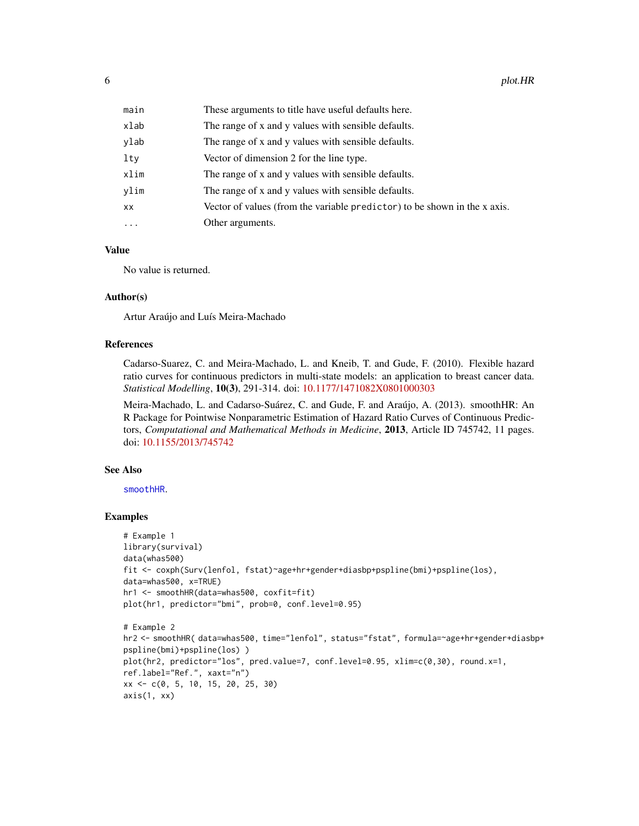<span id="page-5-0"></span>

| main     | These arguments to title have useful defaults here.                       |
|----------|---------------------------------------------------------------------------|
| xlab     | The range of x and y values with sensible defaults.                       |
| ylab     | The range of x and y values with sensible defaults.                       |
| lty      | Vector of dimension 2 for the line type.                                  |
| xlim     | The range of x and y values with sensible defaults.                       |
| ylim     | The range of x and y values with sensible defaults.                       |
| xх       | Vector of values (from the variable predictor) to be shown in the x axis. |
| $\cdots$ | Other arguments.                                                          |

#### Value

No value is returned.

#### Author(s)

Artur Araújo and Luís Meira-Machado

#### References

Cadarso-Suarez, C. and Meira-Machado, L. and Kneib, T. and Gude, F. (2010). Flexible hazard ratio curves for continuous predictors in multi-state models: an application to breast cancer data. *Statistical Modelling*, 10(3), 291-314. doi: [10.1177/1471082X0801000303](https://doi.org/10.1177/1471082X0801000303)

Meira-Machado, L. and Cadarso-Suárez, C. and Gude, F. and Araújo, A. (2013). smoothHR: An R Package for Pointwise Nonparametric Estimation of Hazard Ratio Curves of Continuous Predictors, *Computational and Mathematical Methods in Medicine*, 2013, Article ID 745742, 11 pages. doi: [10.1155/2013/745742](https://doi.org/10.1155/2013/745742)

#### See Also

[smoothHR](#page-8-1).

#### Examples

```
# Example 1
library(survival)
data(whas500)
fit <- coxph(Surv(lenfol, fstat)~age+hr+gender+diasbp+pspline(bmi)+pspline(los),
data=whas500, x=TRUE)
hr1 <- smoothHR(data=whas500, coxfit=fit)
plot(hr1, predictor="bmi", prob=0, conf.level=0.95)
# Example 2
hr2 <- smoothHR( data=whas500, time="lenfol", status="fstat", formula=~age+hr+gender+diasbp+
pspline(bmi)+pspline(los) )
plot(hr2, predictor="los", pred.value=7, conf.level=0.95, xlim=c(0,30), round.x=1,
ref.label="Ref.", xaxt="n")
xx <- c(0, 5, 10, 15, 20, 25, 30)
axis(1, xx)
```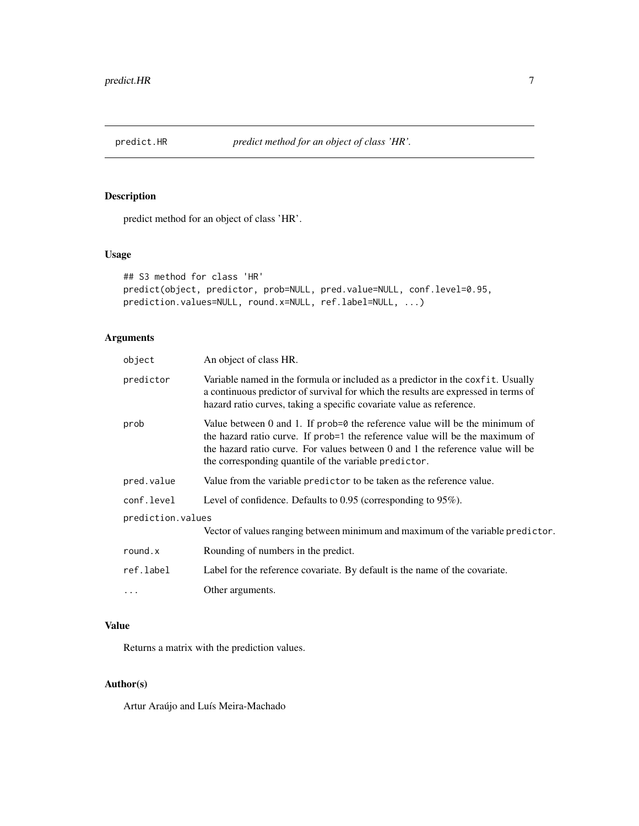<span id="page-6-0"></span>

#### Description

predict method for an object of class 'HR'.

#### Usage

```
## S3 method for class 'HR'
predict(object, predictor, prob=NULL, pred.value=NULL, conf.level=0.95,
prediction.values=NULL, round.x=NULL, ref.label=NULL, ...)
```
#### Arguments

| An object of class HR.                                                                                                                                                                                                                                                                                         |
|----------------------------------------------------------------------------------------------------------------------------------------------------------------------------------------------------------------------------------------------------------------------------------------------------------------|
| Variable named in the formula or included as a predictor in the coxfit. Usually<br>a continuous predictor of survival for which the results are expressed in terms of<br>hazard ratio curves, taking a specific covariate value as reference.                                                                  |
| Value between $0$ and $1$ . If prob= $0$ the reference value will be the minimum of<br>the hazard ratio curve. If prob=1 the reference value will be the maximum of<br>the hazard ratio curve. For values between 0 and 1 the reference value will be<br>the corresponding quantile of the variable predictor. |
| Value from the variable predictor to be taken as the reference value.                                                                                                                                                                                                                                          |
| Level of confidence. Defaults to $0.95$ (corresponding to $95\%$ ).                                                                                                                                                                                                                                            |
| prediction.values                                                                                                                                                                                                                                                                                              |
| Vector of values ranging between minimum and maximum of the variable predictor.                                                                                                                                                                                                                                |
| Rounding of numbers in the predict.                                                                                                                                                                                                                                                                            |
| Label for the reference covariate. By default is the name of the covariate.                                                                                                                                                                                                                                    |
| Other arguments.                                                                                                                                                                                                                                                                                               |
|                                                                                                                                                                                                                                                                                                                |

#### Value

Returns a matrix with the prediction values.

#### Author(s)

Artur Araújo and Luís Meira-Machado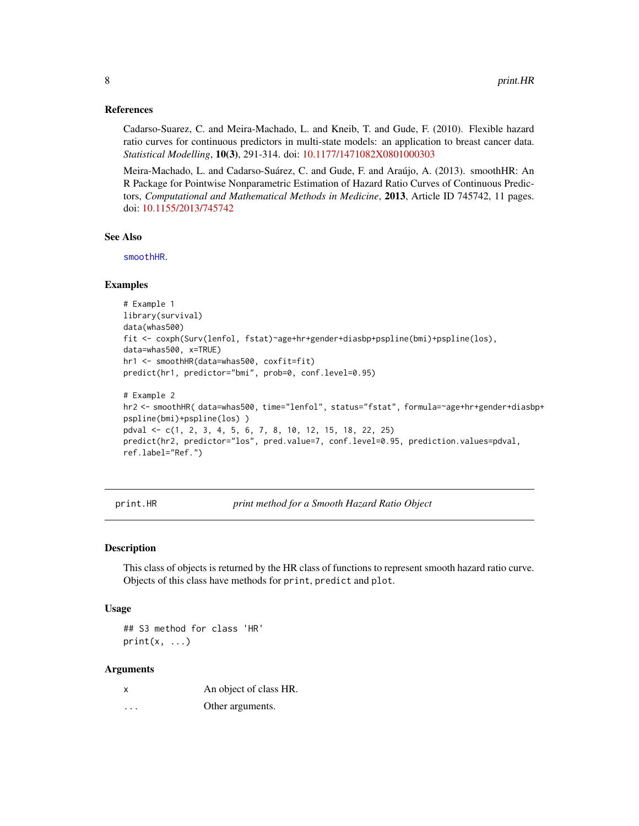#### <span id="page-7-0"></span>References

Cadarso-Suarez, C. and Meira-Machado, L. and Kneib, T. and Gude, F. (2010). Flexible hazard ratio curves for continuous predictors in multi-state models: an application to breast cancer data. *Statistical Modelling*, 10(3), 291-314. doi: [10.1177/1471082X0801000303](https://doi.org/10.1177/1471082X0801000303)

Meira-Machado, L. and Cadarso-Suárez, C. and Gude, F. and Araújo, A. (2013). smoothHR: An R Package for Pointwise Nonparametric Estimation of Hazard Ratio Curves of Continuous Predictors, *Computational and Mathematical Methods in Medicine*, 2013, Article ID 745742, 11 pages. doi: [10.1155/2013/745742](https://doi.org/10.1155/2013/745742)

#### See Also

[smoothHR](#page-8-1).

#### Examples

```
# Example 1
library(survival)
data(whas500)
fit <- coxph(Surv(lenfol, fstat)~age+hr+gender+diasbp+pspline(bmi)+pspline(los),
data=whas500, x=TRUE)
hr1 <- smoothHR(data=whas500, coxfit=fit)
predict(hr1, predictor="bmi", prob=0, conf.level=0.95)
# Example 2
hr2 <- smoothHR( data=whas500, time="lenfol", status="fstat", formula=~age+hr+gender+diasbp+
pspline(bmi)+pspline(los) )
```

```
pdval <- c(1, 2, 3, 4, 5, 6, 7, 8, 10, 12, 15, 18, 22, 25)
predict(hr2, predictor="los", pred.value=7, conf.level=0.95, prediction.values=pdval,
ref.label="Ref.")
```
print.HR *print method for a Smooth Hazard Ratio Object*

#### Description

This class of objects is returned by the HR class of functions to represent smooth hazard ratio curve. Objects of this class have methods for print, predict and plot.

#### Usage

## S3 method for class 'HR'  $print(x, \ldots)$ 

#### Arguments

| X        | An object of class HR. |
|----------|------------------------|
| $\cdots$ | Other arguments.       |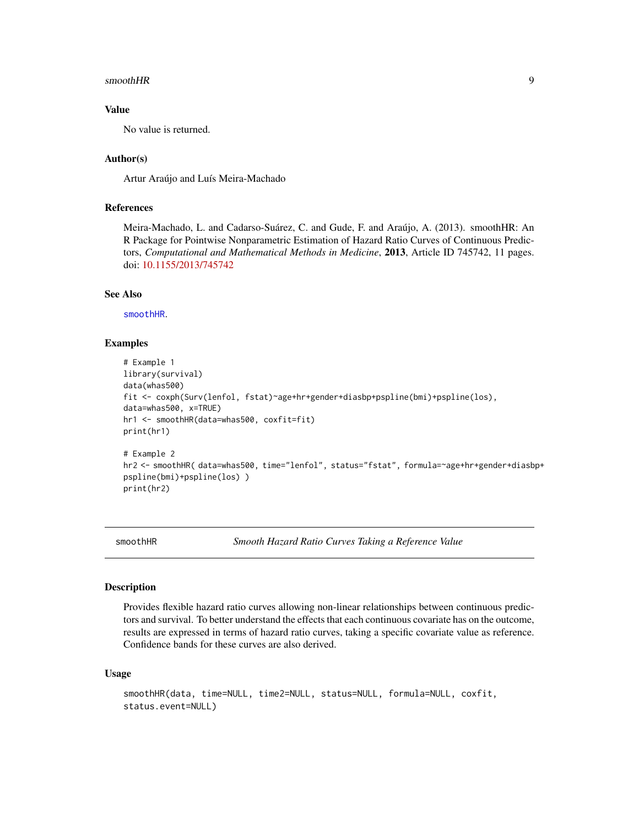#### <span id="page-8-0"></span> $\mathbf{s}$ mooth $\mathbf{H}\mathbf{R}$

#### Value

No value is returned.

#### Author(s)

Artur Araújo and Luís Meira-Machado

#### References

Meira-Machado, L. and Cadarso-Suárez, C. and Gude, F. and Araújo, A. (2013). smoothHR: An R Package for Pointwise Nonparametric Estimation of Hazard Ratio Curves of Continuous Predictors, *Computational and Mathematical Methods in Medicine*, 2013, Article ID 745742, 11 pages. doi: [10.1155/2013/745742](https://doi.org/10.1155/2013/745742)

#### See Also

[smoothHR](#page-8-1).

#### Examples

```
# Example 1
library(survival)
data(whas500)
fit <- coxph(Surv(lenfol, fstat)~age+hr+gender+diasbp+pspline(bmi)+pspline(los),
data=whas500, x=TRUE)
hr1 <- smoothHR(data=whas500, coxfit=fit)
print(hr1)
# Example 2
hr2 <- smoothHR( data=whas500, time="lenfol", status="fstat", formula=~age+hr+gender+diasbp+
pspline(bmi)+pspline(los) )
print(hr2)
```
smoothHR *Smooth Hazard Ratio Curves Taking a Reference Value*

#### Description

Provides flexible hazard ratio curves allowing non-linear relationships between continuous predictors and survival. To better understand the effects that each continuous covariate has on the outcome, results are expressed in terms of hazard ratio curves, taking a specific covariate value as reference. Confidence bands for these curves are also derived.

#### Usage

```
smoothHR(data, time=NULL, time2=NULL, status=NULL, formula=NULL, coxfit,
status.event=NULL)
```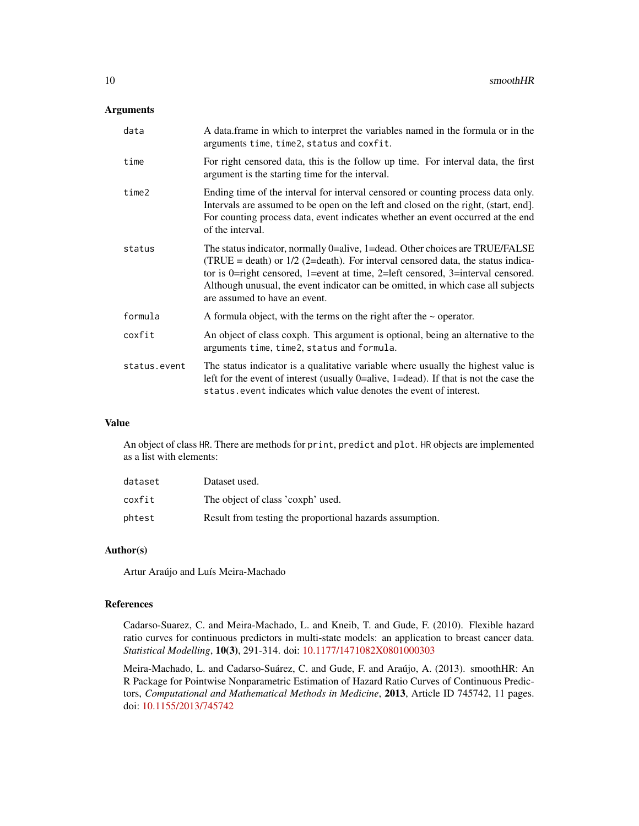#### Arguments

| data         | A data. frame in which to interpret the variables named in the formula or in the<br>arguments time, time2, status and coxfit.                                                                                                                                                                                                                                             |
|--------------|---------------------------------------------------------------------------------------------------------------------------------------------------------------------------------------------------------------------------------------------------------------------------------------------------------------------------------------------------------------------------|
| time         | For right censored data, this is the follow up time. For interval data, the first<br>argument is the starting time for the interval.                                                                                                                                                                                                                                      |
| time2        | Ending time of the interval for interval censored or counting process data only.<br>Intervals are assumed to be open on the left and closed on the right, (start, end).<br>For counting process data, event indicates whether an event occurred at the end<br>of the interval.                                                                                            |
| status       | The status indicator, normally 0=alive, 1=dead. Other choices are TRUE/FALSE<br>(TRUE = death) or $1/2$ (2=death). For interval censored data, the status indica-<br>tor is 0=right censored, 1=event at time, 2=left censored, 3=interval censored.<br>Although unusual, the event indicator can be omitted, in which case all subjects<br>are assumed to have an event. |
| formula      | A formula object, with the terms on the right after the $\sim$ operator.                                                                                                                                                                                                                                                                                                  |
| coxfit       | An object of class coxph. This argument is optional, being an alternative to the<br>arguments time, time2, status and formula.                                                                                                                                                                                                                                            |
| status.event | The status indicator is a qualitative variable where usually the highest value is<br>left for the event of interest (usually $0$ =alive, 1=dead). If that is not the case the<br>status, event indicates which value denotes the event of interest.                                                                                                                       |

#### Value

An object of class HR. There are methods for print, predict and plot. HR objects are implemented as a list with elements:

| dataset | Dataset used.                                            |
|---------|----------------------------------------------------------|
| coxfit  | The object of class 'coxph' used.                        |
| phtest  | Result from testing the proportional hazards assumption. |

#### Author(s)

Artur Araújo and Luís Meira-Machado

#### References

Cadarso-Suarez, C. and Meira-Machado, L. and Kneib, T. and Gude, F. (2010). Flexible hazard ratio curves for continuous predictors in multi-state models: an application to breast cancer data. *Statistical Modelling*, 10(3), 291-314. doi: [10.1177/1471082X0801000303](https://doi.org/10.1177/1471082X0801000303)

Meira-Machado, L. and Cadarso-Suárez, C. and Gude, F. and Araújo, A. (2013). smoothHR: An R Package for Pointwise Nonparametric Estimation of Hazard Ratio Curves of Continuous Predictors, *Computational and Mathematical Methods in Medicine*, 2013, Article ID 745742, 11 pages. doi: [10.1155/2013/745742](https://doi.org/10.1155/2013/745742)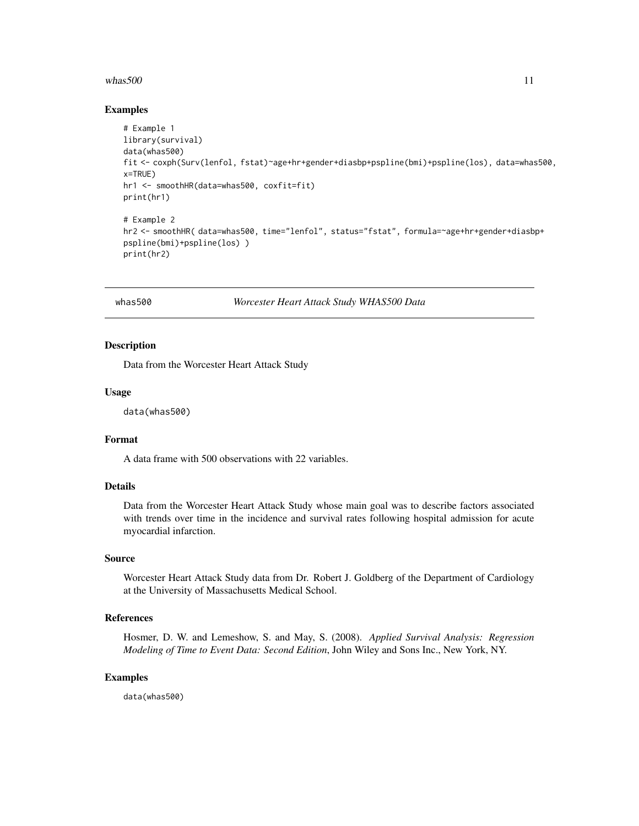#### <span id="page-10-0"></span>whas  $500$  11

#### Examples

```
# Example 1
library(survival)
data(whas500)
fit <- coxph(Surv(lenfol, fstat)~age+hr+gender+diasbp+pspline(bmi)+pspline(los), data=whas500,
x=TRUE)
hr1 <- smoothHR(data=whas500, coxfit=fit)
print(hr1)
# Example 2
hr2 <- smoothHR( data=whas500, time="lenfol", status="fstat", formula=~age+hr+gender+diasbp+
pspline(bmi)+pspline(los) )
print(hr2)
```
whas500 *Worcester Heart Attack Study WHAS500 Data*

#### Description

Data from the Worcester Heart Attack Study

#### Usage

data(whas500)

#### Format

A data frame with 500 observations with 22 variables.

#### Details

Data from the Worcester Heart Attack Study whose main goal was to describe factors associated with trends over time in the incidence and survival rates following hospital admission for acute myocardial infarction.

#### Source

Worcester Heart Attack Study data from Dr. Robert J. Goldberg of the Department of Cardiology at the University of Massachusetts Medical School.

#### References

Hosmer, D. W. and Lemeshow, S. and May, S. (2008). *Applied Survival Analysis: Regression Modeling of Time to Event Data: Second Edition*, John Wiley and Sons Inc., New York, NY.

#### Examples

data(whas500)